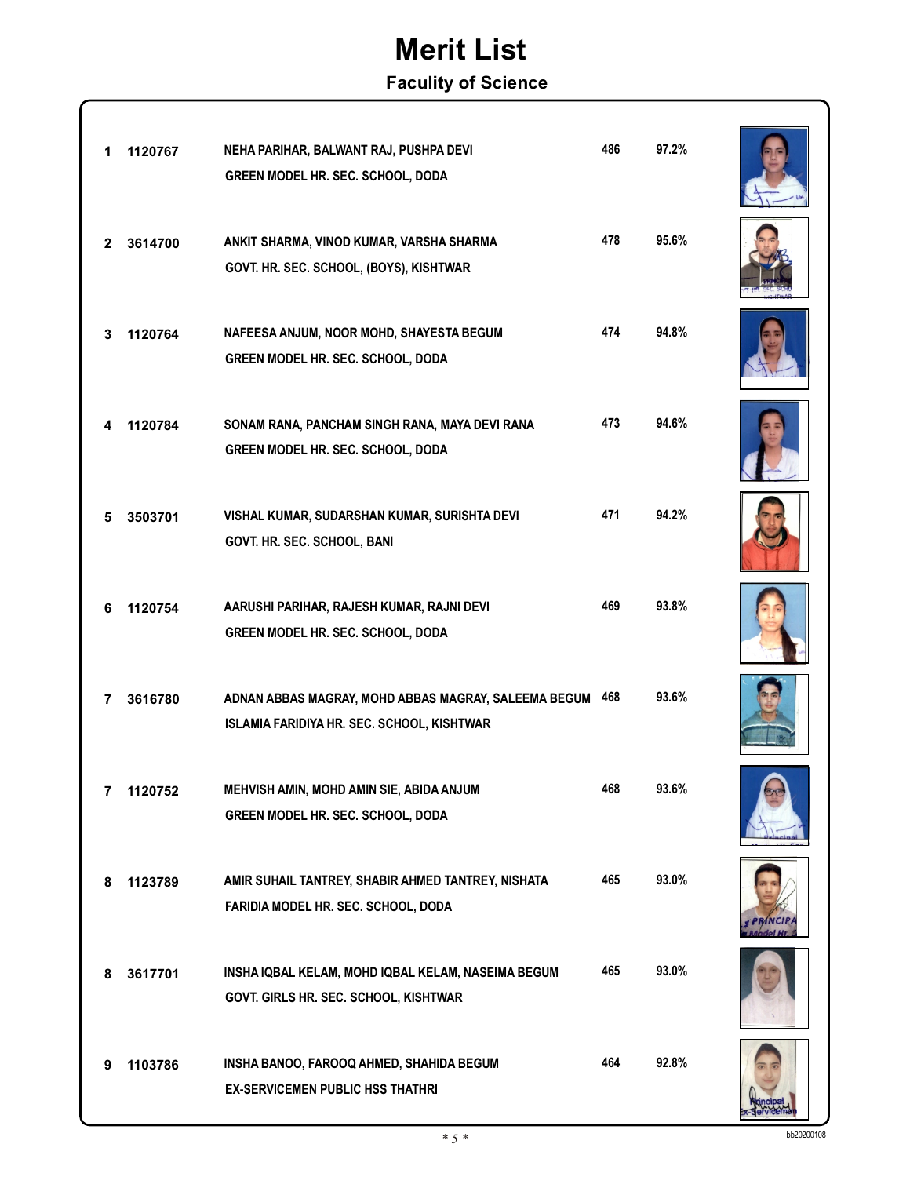### **Faculity of Science**

| 1              | 1120767 | NEHA PARIHAR, BALWANT RAJ, PUSHPA DEVI<br>GREEN MODEL HR. SEC. SCHOOL, DODA                            | 486 | 97.2% |  |
|----------------|---------|--------------------------------------------------------------------------------------------------------|-----|-------|--|
| $\mathbf{2}$   | 3614700 | ANKIT SHARMA, VINOD KUMAR, VARSHA SHARMA<br>GOVT. HR. SEC. SCHOOL, (BOYS), KISHTWAR                    | 478 | 95.6% |  |
| 3              | 1120764 | NAFEESA ANJUM, NOOR MOHD, SHAYESTA BEGUM<br>GREEN MODEL HR. SEC. SCHOOL, DODA                          | 474 | 94.8% |  |
| 4              | 1120784 | SONAM RANA, PANCHAM SINGH RANA, MAYA DEVI RANA<br>GREEN MODEL HR. SEC. SCHOOL, DODA                    | 473 | 94.6% |  |
| 5              | 3503701 | VISHAL KUMAR, SUDARSHAN KUMAR, SURISHTA DEVI<br>GOVT. HR. SEC. SCHOOL, BANI                            | 471 | 94.2% |  |
| 6              | 1120754 | AARUSHI PARIHAR, RAJESH KUMAR, RAJNI DEVI<br>GREEN MODEL HR. SEC. SCHOOL, DODA                         | 469 | 93.8% |  |
| 7              | 3616780 | ADNAN ABBAS MAGRAY, MOHD ABBAS MAGRAY, SALEEMA BEGUM 468<br>ISLAMIA FARIDIYA HR. SEC. SCHOOL, KISHTWAR |     | 93.6% |  |
| $\overline{7}$ | 1120752 | MEHVISH AMIN, MOHD AMIN SIE, ABIDA ANJUM<br>GREEN MODEL HR. SEC. SCHOOL, DODA                          | 468 | 93.6% |  |
| 8              | 1123789 | AMIR SUHAIL TANTREY, SHABIR AHMED TANTREY, NISHATA<br>FARIDIA MODEL HR. SEC. SCHOOL, DODA              | 465 | 93.0% |  |
| 8              | 3617701 | INSHA IQBAL KELAM, MOHD IQBAL KELAM, NASEIMA BEGUM<br>GOVT. GIRLS HR. SEC. SCHOOL, KISHTWAR            | 465 | 93.0% |  |
| 9              | 1103786 | INSHA BANOO, FAROOQ AHMED, SHAHIDA BEGUM<br><b>EX-SERVICEMEN PUBLIC HSS THATHRI</b>                    | 464 | 92.8% |  |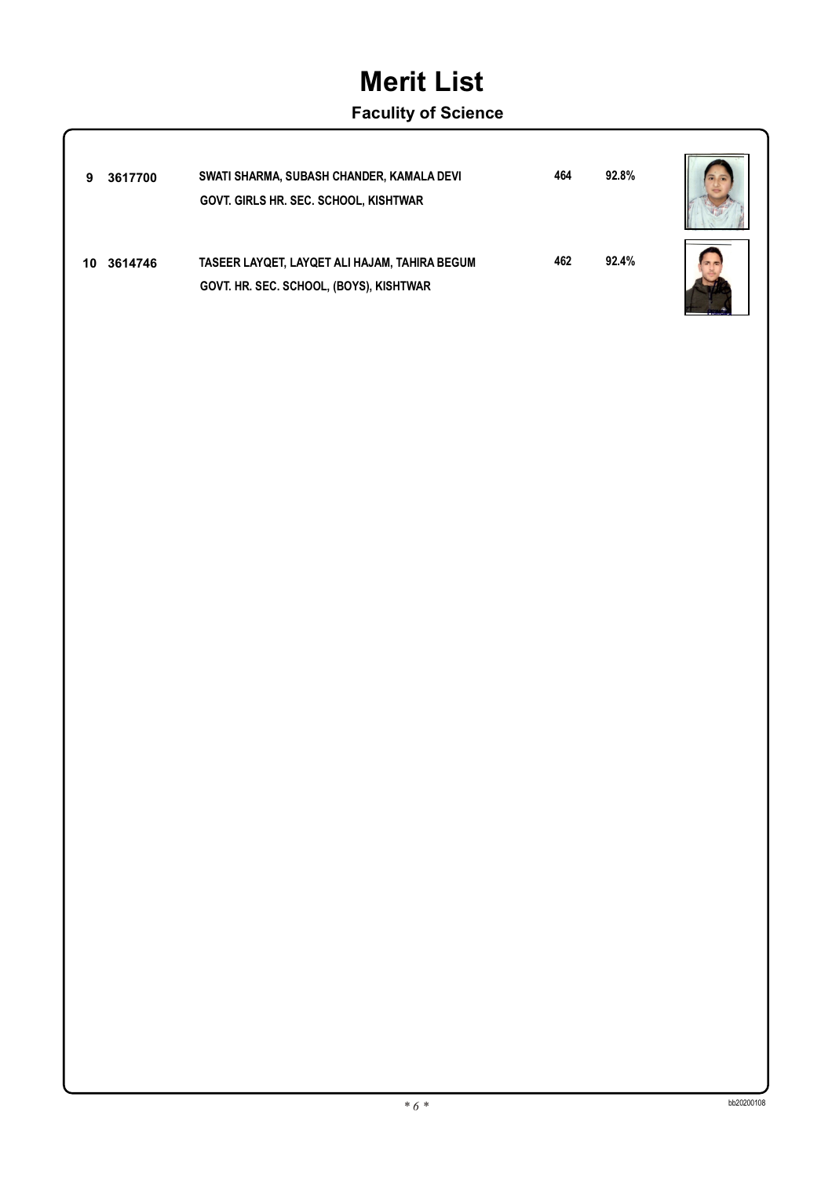### **Faculity of Science**

| 9   | 3617700 | SWATI SHARMA, SUBASH CHANDER, KAMALA DEVI<br><b>GOVT. GIRLS HR. SEC. SCHOOL, KISHTWAR</b> | 464 | 92.8% |  |
|-----|---------|-------------------------------------------------------------------------------------------|-----|-------|--|
| 10. | 3614746 | TASEER LAYQET, LAYQET ALI HAJAM, TAHIRA BEGUM<br>GOVT. HR. SEC. SCHOOL, (BOYS), KISHTWAR  | 462 | 92.4% |  |

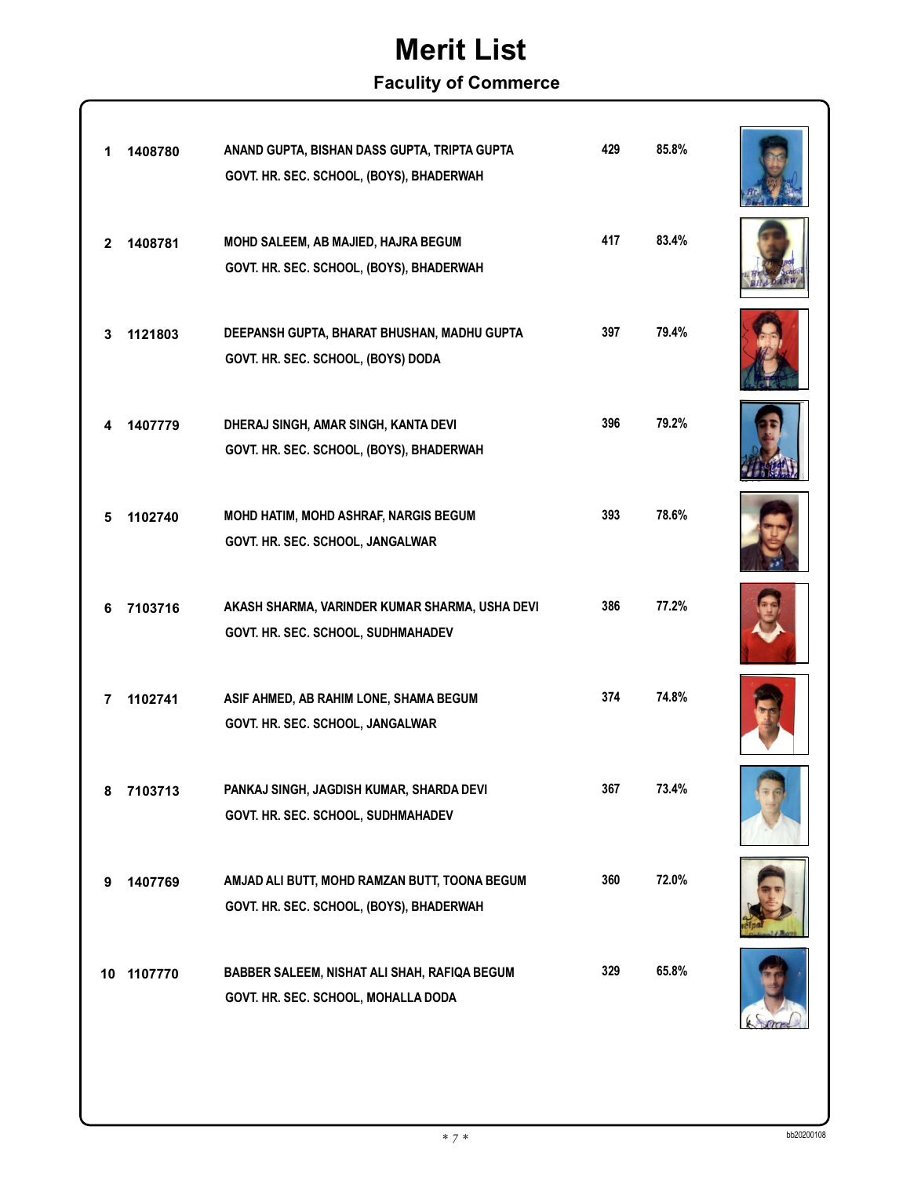### **Faculity of Commerce**

| 1            | 1408780    | ANAND GUPTA, BISHAN DASS GUPTA, TRIPTA GUPTA<br>GOVT. HR. SEC. SCHOOL, (BOYS), BHADERWAH  | 429 | 85.8% |  |
|--------------|------------|-------------------------------------------------------------------------------------------|-----|-------|--|
| $\mathbf{2}$ | 1408781    | MOHD SALEEM, AB MAJIED, HAJRA BEGUM<br>GOVT. HR. SEC. SCHOOL, (BOYS), BHADERWAH           | 417 | 83.4% |  |
| 3            | 1121803    | DEEPANSH GUPTA, BHARAT BHUSHAN, MADHU GUPTA<br>GOVT. HR. SEC. SCHOOL, (BOYS) DODA         | 397 | 79.4% |  |
|              | 1407779    | DHERAJ SINGH, AMAR SINGH, KANTA DEVI<br>GOVT. HR. SEC. SCHOOL, (BOYS), BHADERWAH          | 396 | 79.2% |  |
| 5            | 1102740    | MOHD HATIM, MOHD ASHRAF, NARGIS BEGUM<br>GOVT. HR. SEC. SCHOOL, JANGALWAR                 | 393 | 78.6% |  |
| 6            | 7103716    | AKASH SHARMA, VARINDER KUMAR SHARMA, USHA DEVI<br>GOVT. HR. SEC. SCHOOL, SUDHMAHADEV      | 386 | 77.2% |  |
| 7            | 1102741    | ASIF AHMED, AB RAHIM LONE, SHAMA BEGUM<br>GOVT. HR. SEC. SCHOOL, JANGALWAR                | 374 | 74.8% |  |
| 8            | 7103713    | PANKAJ SINGH, JAGDISH KUMAR, SHARDA DEVI<br>GOVT. HR. SEC. SCHOOL, SUDHMAHADEV            | 367 | 73.4% |  |
| 9            | 1407769    | AMJAD ALI BUTT, MOHD RAMZAN BUTT, TOONA BEGUM<br>GOVT. HR. SEC. SCHOOL, (BOYS), BHADERWAH | 360 | 72.0% |  |
|              | 10 1107770 | BABBER SALEEM, NISHAT ALI SHAH, RAFIQA BEGUM<br>GOVT. HR. SEC. SCHOOL, MOHALLA DODA       | 329 | 65.8% |  |
|              |            |                                                                                           |     |       |  |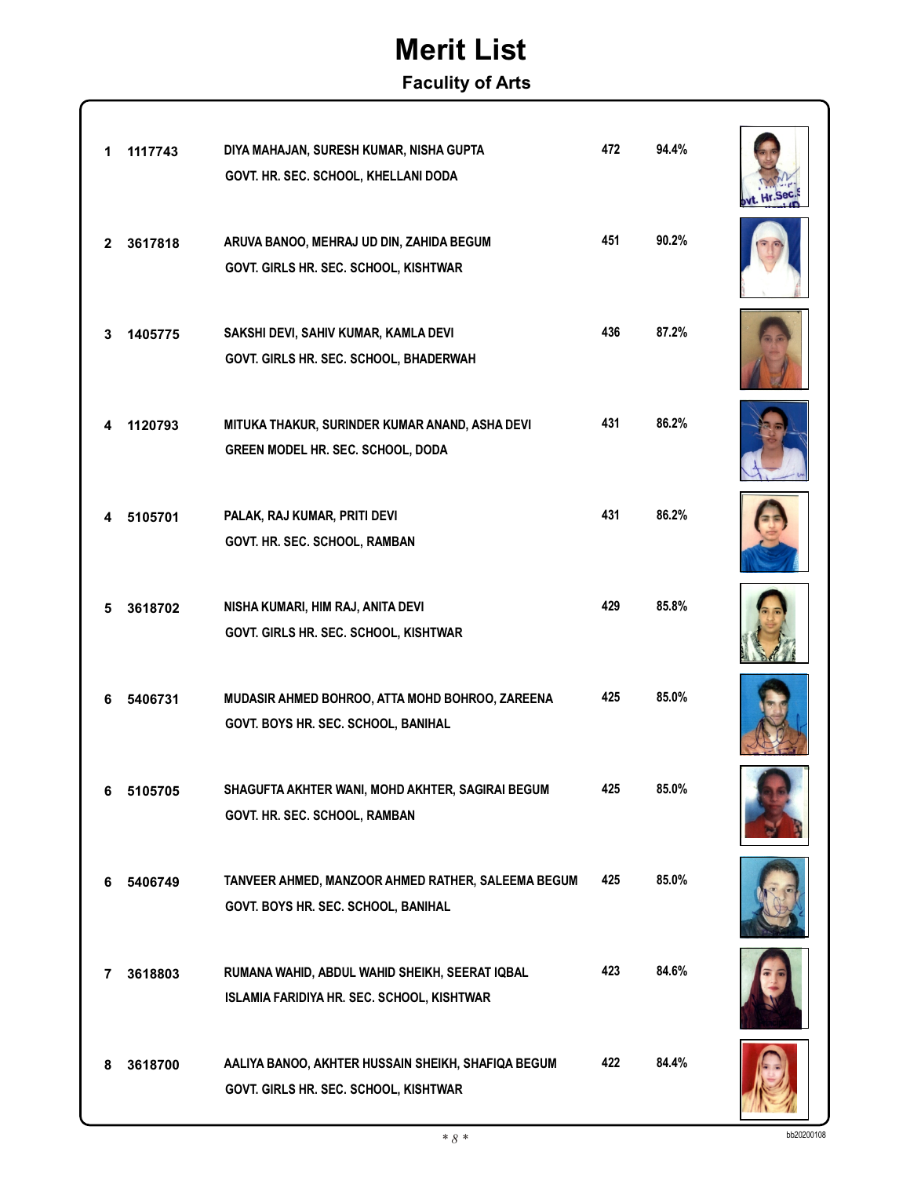#### **Faculity of Arts**

| 1            | 1117743 | DIYA MAHAJAN, SURESH KUMAR, NISHA GUPTA<br>GOVT. HR. SEC. SCHOOL, KHELLANI DODA              | 472 | 94.4% |  |
|--------------|---------|----------------------------------------------------------------------------------------------|-----|-------|--|
| $\mathbf{2}$ | 3617818 | ARUVA BANOO, MEHRAJ UD DIN, ZAHIDA BEGUM<br>GOVT. GIRLS HR. SEC. SCHOOL, KISHTWAR            | 451 | 90.2% |  |
| 3            | 1405775 | SAKSHI DEVI, SAHIV KUMAR, KAMLA DEVI<br>GOVT. GIRLS HR. SEC. SCHOOL, BHADERWAH               | 436 | 87.2% |  |
| 4            | 1120793 | MITUKA THAKUR, SURINDER KUMAR ANAND, ASHA DEVI<br>GREEN MODEL HR. SEC. SCHOOL, DODA          | 431 | 86.2% |  |
| 4            | 5105701 | PALAK, RAJ KUMAR, PRITI DEVI<br>GOVT. HR. SEC. SCHOOL, RAMBAN                                | 431 | 86.2% |  |
| 5            | 3618702 | NISHA KUMARI, HIM RAJ, ANITA DEVI<br>GOVT. GIRLS HR. SEC. SCHOOL, KISHTWAR                   | 429 | 85.8% |  |
| 6            | 5406731 | MUDASIR AHMED BOHROO, ATTA MOHD BOHROO, ZAREENA<br>GOVT. BOYS HR. SEC. SCHOOL, BANIHAL       | 425 | 85.0% |  |
| 6            | 5105705 | SHAGUFTA AKHTER WANI, MOHD AKHTER, SAGIRAI BEGUM<br>GOVT. HR. SEC. SCHOOL, RAMBAN            | 425 | 85.0% |  |
| 6            | 5406749 | TANVEER AHMED, MANZOOR AHMED RATHER, SALEEMA BEGUM<br>GOVT. BOYS HR. SEC. SCHOOL, BANIHAL    | 425 | 85.0% |  |
| 7            | 3618803 | RUMANA WAHID, ABDUL WAHID SHEIKH, SEERAT IQBAL<br>ISLAMIA FARIDIYA HR. SEC. SCHOOL, KISHTWAR | 423 | 84.6% |  |
| 8            | 3618700 | AALIYA BANOO, AKHTER HUSSAIN SHEIKH, SHAFIQA BEGUM<br>GOVT. GIRLS HR. SEC. SCHOOL, KISHTWAR  | 422 | 84.4% |  |